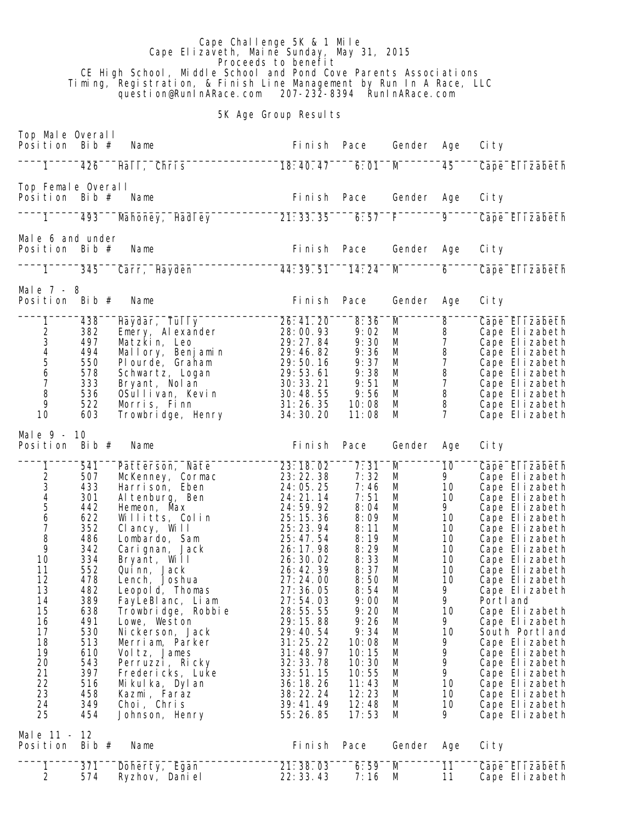Cape Challenge 5K & 1 Mile Cape Elizaveth, Maine Sunday, May 31, 2015 **Proceeds to benefit**  CE High School, Middle School and Pond Cove Parents Associations Timing, Registration, & Finish Line Management by Run In A Race, LLC question@RunInARace.com 207-232-8394 RunInARace.com

5K Age Group Results

| Top Male Overall<br>Posi ti on                  | Bib $#$        | Name                             | Finish Pace           |              | Gender | Age                 | Ci ty                            |
|-------------------------------------------------|----------------|----------------------------------|-----------------------|--------------|--------|---------------------|----------------------------------|
| $\mathbf{1}$                                    | 426            | Hall, Chris                      | 18:40.47              | 6:01         | M      | 45                  | Cape Elizabeth                   |
| Top Female Overall<br>Position                  | Bib $#$        | Name                             | Fi ni sh              | Pace         | Gender | Age                 | Ci ty                            |
| 1                                               | 493            | Mahoney, Hadley                  | 21:33.35              | 6:57         | F      | $\overline{9}$      | Cape Elizabeth                   |
| Male 6 and under<br>Position                    | Bib $#$        | Name                             | Fi ni sh              | Pace         | Gender | Age                 | Ci ty                            |
| $\overline{1}$                                  | 345            | Carr, Hayden                     | 44: 39. 51            | 14:24        | M      | 6                   | Cape Elizabeth                   |
| Male $7 - 8$<br>Posi ti on                      | Bib $#$        | Name                             | Fi ni sh              | Pace         | Gender | Age                 | Ci ty                            |
| 1                                               | 438            | Haydar, Tully                    | 26:41.20              | 8:36         | M      | 8                   | Cape Elizabeth                   |
| $\overline{\mathbf{c}}$                         | 382            | Emery, Alexander                 | 28:00.93              | 9:02         | M      | 8                   | Cape Elizabeth                   |
|                                                 | 497            | Matzkin, Leo                     | 29: 27. 84            | 9:30         | M      | $\overline{7}$      | Cape Elizabeth                   |
| $\begin{array}{c} 3 \\ 4 \\ 5 \\ 6 \end{array}$ | 494            | Mallory, Benjamin                | 29:46.82              | 9:36         | M      | $\, 8$              | Cape Elizabeth                   |
|                                                 | 550            | Plourde, Graham                  | 29:50.16              | 9:37         | М      | $\overline{7}$      | Cape Elizabeth                   |
|                                                 | 578            | Schwartz, Logan                  | 29:53.61              | 9:38         | M      | 8                   | Cape Elizabeth                   |
| $\overline{7}$                                  | 333            | Bryant, Nol an                   | 30:33.21              | 9:51         | M      | $\overline{7}$      | Cape Elizabeth                   |
| 8                                               | 536            | OSullivan, Kevin                 | 30:48.55              | 9:56         | M      | $\, 8$              | Cape Elizabeth                   |
| 9                                               | 522            | Morris, Finn                     | 31:26.35              | 10:08        | M      | 8<br>$\overline{7}$ | Cape Elizabeth                   |
| 10                                              | 603            | Trowbridge, Henry                | 34: 30. 20            | 11:08        | M      |                     | Cape Elizabeth                   |
| Male 9 - 10<br>Position                         | Bib $#$        | Name                             | Finish Pace           |              | Gender | Age                 | Ci ty                            |
| 1                                               | 541            | Patterson, Nate                  | 23:18.02              | 7:31         | M      | 10                  | Cape Elizabeth                   |
|                                                 | 507            | McKenney, Cormac                 | 23:22.38              | 7:32         | M      | 9                   | Cape Elizabeth                   |
|                                                 | 433            | Harrison, Eben                   | 24:05.25              | 7:46         | M      | 10                  | Cape Elizabeth                   |
| 234567                                          | 301            | Al tenburg, Ben                  | 24: 21. 14            | 7:51         | M      | 10                  | Cape Elizabeth                   |
|                                                 | 442            | Hemeon, Max                      | 24:59.92              | 8:04         | M      | 9                   | Cape Elizabeth                   |
|                                                 | 622            | Willitts, Colin                  | 25:15.36              | 8:09         | M      | 10                  | Cape Elizabeth                   |
| 8                                               | 352            | Clancy, Will                     | 25: 23. 94            | 8:11         | M      | 10                  | Cape Elizabeth                   |
| 9                                               | 486<br>342     | Lombardo, Sam<br>Carignan, Jack  | 25:47.54<br>26: 17.98 | 8:19<br>8:29 | M<br>M | 10<br>10            | Cape Elizabeth<br>Cape Elizabeth |
| 10                                              | 334            | Bryant, Will                     | 26:30.02              | 8:33         | M      | 10                  | Cape Elizabeth                   |
| 11                                              | 552            | Quinn, Jack                      | 26: 42. 39            | 8:37         | M      | 10                  | Cape Elizabeth                   |
| 12                                              | 478            | Lench, Joshua                    | 27:24.00              | 8:50         | M      | 10                  | Cape Elizabeth                   |
| 13                                              | 482            | Leopold, Thomas                  | 27:36.05              | 8:54         | M      | 9                   | Cape Elizabeth                   |
| 14                                              | 389            | FayLeBI anc, Li am               | 27:54.03              | 9:00         | M      | 9                   | Portl and                        |
| 15                                              | 638            | Trowbridge, Robbie               | 28:55.55              | 9:20         | M      | 10                  | Cape Elizabeth                   |
| 16                                              | 491            | Lowe, Weston                     | 29:15.88              | 9:26         | M      | 9                   | Cape Elizabeth                   |
| 17                                              | 530            | Ni ckerson, Jack                 | 29:40.54              | 9:34         | M      | 10                  | South Portland                   |
| 18                                              | 513            | Merriam, Parker                  | 31:25.22              | 10:08        | M      | 9                   | Cape Elizabeth                   |
| 19                                              | 610            | Vol tz, James                    | 31:48.97              | 10:15        | M      | 9                   | Cape Elizabeth                   |
| 20                                              | 543            | Perruzzi, Ricky                  | 32: 33. 78            | 10:30        | M      | 9                   | Cape Elizabeth                   |
| 21                                              | 397            | Fredericks, Luke                 | 33:51.15              | 10:55        | M      | 9                   | Cape Elizabeth                   |
| 22                                              | 516            | Mikulka, Dylan                   | 36:18.26              | 11:43        | M      | 10                  | Cape Elizabeth                   |
| 23                                              | 458            | Kazmi, Faraz                     | 38:22.24              | 12:23        | M      | 10                  | Cape Elizabeth                   |
| 24                                              | 349            | Choi, Chris                      | 39:41.49              | 12:48        | M      | 10                  | Cape Elizabeth                   |
| 25                                              | 454            | Johnson, Henry                   | 55: 26. 85            | 17:53        | M      | 9.                  | Cape Elizabeth                   |
| Male 11 -<br>Position                           | -12<br>Bib $#$ | Name                             | Fi ni sh              | Pace         | Gender | Age                 | Ci ty                            |
|                                                 |                |                                  |                       |              |        |                     |                                  |
| 1<br>$\overline{2}$                             | 371<br>574     | Doherty, Egan<br>Ryzhov, Dani el | 21:38.03<br>22:33.43  | 6:59<br>7:16 | M<br>M | 11<br>11            | Cape Elizabeth<br>Cape Elizabeth |
|                                                 |                |                                  |                       |              |        |                     |                                  |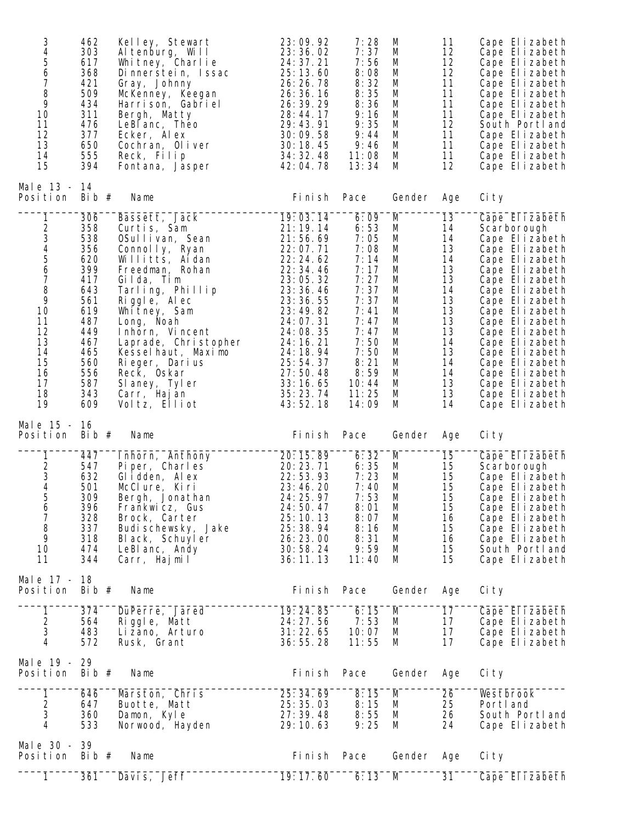| 3<br>$\overline{\mathbf{4}}$<br>5<br>6<br>7<br>8<br>9<br>10<br>11<br>12<br>13<br>14<br>15 | 462<br>303<br>617<br>368<br>421<br>509<br>434<br>311<br>476<br>377<br>650<br>555<br>394                                           | Kelley, Stewart<br>Altenburg, Will<br>Whitney, Charlie<br>Dinnerstein, Issac<br>Gray, Johnny<br>McKenney, Keegan<br>Harrison, Gabriel<br>Bergh, Matty<br>LeBI anc, Theo<br>Ecker, Alex<br>Cochran, Oliver<br>Reck, Filip<br>Fontana, Jasper                                                                                                 | 23:09.92<br>23:36.02<br>24: 37. 21<br>25:13.60<br>26: 26. 78<br>26: 36. 16<br>26: 39. 29<br>28:44.17<br>29:43.91<br>30:09.58<br>30:18.45<br>34: 32. 48<br>42:04.78                                                                         | 7:28<br>7:37<br>7:56<br>8:08<br>8:32<br>8:35<br>8:36<br>9:16<br>9:35<br>9:44<br>9:46<br>11:08<br>13:34                                                  | M<br>M<br>M<br>M<br>M<br>M<br>M<br>M<br>M<br>M<br>M<br>M<br>M                               | 11<br>12<br>12<br>12<br>11<br>11<br>11<br>11<br>12<br>11<br>11<br>11<br>12                                     | Cape Elizabeth<br>Cape Elizabeth<br>Cape Elizabeth<br>Cape Elizabeth<br>Cape Elizabeth<br>Cape Elizabeth<br>Cape Elizabeth<br>Cape Elizabeth<br>South Portland<br>Cape Elizabeth<br>Cape Elizabeth<br>Cape Elizabeth<br>Cape Elizabeth                                                                                                          |
|-------------------------------------------------------------------------------------------|-----------------------------------------------------------------------------------------------------------------------------------|---------------------------------------------------------------------------------------------------------------------------------------------------------------------------------------------------------------------------------------------------------------------------------------------------------------------------------------------|--------------------------------------------------------------------------------------------------------------------------------------------------------------------------------------------------------------------------------------------|---------------------------------------------------------------------------------------------------------------------------------------------------------|---------------------------------------------------------------------------------------------|----------------------------------------------------------------------------------------------------------------|-------------------------------------------------------------------------------------------------------------------------------------------------------------------------------------------------------------------------------------------------------------------------------------------------------------------------------------------------|
| Male 13 - 14<br>Position                                                                  | Bib $#$                                                                                                                           | Name                                                                                                                                                                                                                                                                                                                                        | Finish Pace                                                                                                                                                                                                                                |                                                                                                                                                         | Gender                                                                                      | Age                                                                                                            | Ci ty                                                                                                                                                                                                                                                                                                                                           |
| 1<br>234567<br>$\, 8$<br>9<br>10<br>11<br>12<br>13<br>14<br>15<br>16<br>17<br>18<br>19    | 306<br>358<br>538<br>356<br>620<br>399<br>417<br>643<br>561<br>619<br>487<br>449<br>467<br>465<br>560<br>556<br>587<br>343<br>609 | Bassett, Jack<br>Curtis, Sam<br>OSullivan, Sean<br>Connolly, Ryan<br>Willitts, Aidan<br>Freedman, Rohan<br>Gilda, Tim<br>Tarling, Phillip<br>Riggle, Alec<br>Whitney, Sam<br>Long, Noah<br>Inhorn, Vincent<br>Laprade, Christopher<br>Kesselhaut, Maximo<br>Rieger, Darius<br>Reck, Oskar<br>SI aney, Tyler<br>Carr, Hajan<br>Voltz, Elliot | 19:03.14<br>21:19.14<br>21:56.69<br>22:07.71<br>22:24.62<br>22: 34. 46<br>23:05.32<br>23: 36. 46<br>23:36.55<br>23:49.82<br>24:07.31<br>24:08.35<br>24: 16. 21<br>24: 18. 94<br>25:54.37<br>27:50.48<br>33:16.65<br>35: 23. 74<br>43:52.18 | 6:09<br>6:53<br>7:05<br>7:08<br>7:14<br>7:17<br>7:27<br>7:37<br>7:37<br>7:41<br>7:47<br>7:47<br>7:50<br>7:50<br>8:21<br>8:59<br>10:44<br>11:25<br>14:09 | M<br>M<br>M<br>M<br>M<br>M<br>M<br>M<br>M<br>M<br>M<br>M<br>M<br>M<br>M<br>M<br>M<br>M<br>M | 13<br>14<br>14<br>13<br>14<br>13<br>13<br>14<br>13<br>13<br>13<br>13<br>14<br>13<br>14<br>14<br>13<br>13<br>14 | Cape Elizabeth<br>Scarborough<br>Cape Elizabeth<br>Cape Elizabeth<br>Cape Elizabeth<br>Cape Elizabeth<br>Cape Elizabeth<br>Cape Elizabeth<br>Cape Elizabeth<br>Cape Elizabeth<br>Cape Elizabeth<br>Cape Elizabeth<br>Cape Elizabeth<br>Cape Elizabeth<br>Cape Elizabeth<br>Cape Elizabeth<br>Cape Elizabeth<br>Cape Elizabeth<br>Cape Elizabeth |
| Male 15 - 16<br>Position                                                                  | Bib $#$                                                                                                                           | Name                                                                                                                                                                                                                                                                                                                                        | Fi ni sh                                                                                                                                                                                                                                   | Pace                                                                                                                                                    | Gender                                                                                      | Age                                                                                                            | Ci ty                                                                                                                                                                                                                                                                                                                                           |
| 1<br>$\sqrt{2}$<br>$\frac{3}{4}$<br>5<br>6<br>$\overline{7}$<br>8<br>9<br>10<br>11        | 447<br>547<br>632<br>501<br>309<br>396<br>328<br>337<br>318<br>474<br>344                                                         | Inhorn, Anthony<br>Piper, Charles<br>Glidden, Alex<br>McClure, Kiri<br>Bergh, Jonathan<br>Frankwicz, Gus<br>Brock, Carter<br>Budi schewsky, Jake<br>Black, Schuyler<br>LeBI anc, Andy<br>Carr, Hajmil                                                                                                                                       | 20:15.89<br>20:23.71<br>22:53.93<br>23:46.20<br>24: 25. 97<br>24:50.47<br>25:10.13<br>25:38.94<br>26:23.00<br>30:58.24<br>36:11.13                                                                                                         | 6:32<br>6:35<br>7:23<br>7:40<br>7:53<br>8:01<br>8:07<br>8:16<br>8:31<br>9:59<br>11:40                                                                   | M<br>M<br>M<br>M<br>M<br>M<br>M<br>M<br>M<br>M<br>M                                         | 15<br>15<br>15<br>15<br>15<br>15<br>16<br>15<br>16<br>15<br>15                                                 | Cape Elizabeth<br>Scarborough<br>Cape Elizabeth<br>Cape Elizabeth<br>Cape Elizabeth<br>Cape Elizabeth<br>Cape Elizabeth<br>Cape Elizabeth<br>Cape Elizabeth<br>South Portl and<br>Cape Elizabeth                                                                                                                                                |
| Male 17 -<br>Position                                                                     | 18<br>Bib $#$                                                                                                                     | Name                                                                                                                                                                                                                                                                                                                                        | Fi ni sh                                                                                                                                                                                                                                   | Pace                                                                                                                                                    | Gender                                                                                      | Age                                                                                                            | Ci ty                                                                                                                                                                                                                                                                                                                                           |
| 1<br>$\overline{c}$<br>3<br>4                                                             | 374<br>564<br>483<br>572                                                                                                          | DuPerre, Jared<br>Riggle, Matt<br>Li zano, Arturo<br>Rusk, Grant                                                                                                                                                                                                                                                                            | 19:24.85<br>24: 27.56<br>31:22.65<br>36:55.28                                                                                                                                                                                              | 6:15<br>7:53<br>10:07<br>11:55                                                                                                                          | M<br>M<br>M<br>M                                                                            | 17<br>17<br>17<br>17                                                                                           | Cape Elizabeth<br>Cape Elizabeth<br>Cape Elizabeth<br>Cape Elizabeth                                                                                                                                                                                                                                                                            |
| Male 19 - 29<br>Position                                                                  | Bib $#$                                                                                                                           | Name                                                                                                                                                                                                                                                                                                                                        | Fi ni sh                                                                                                                                                                                                                                   | Pace                                                                                                                                                    | Gender                                                                                      | Age                                                                                                            | Ci ty                                                                                                                                                                                                                                                                                                                                           |
| 1<br>2<br>3<br>4                                                                          | 646<br>647<br>360<br>533                                                                                                          | Marston, Chris<br>Buotte, Matt<br>Damon, Kyle<br>Norwood, Hayden                                                                                                                                                                                                                                                                            | 25:34.69<br>25: 35. 03<br>27: 39. 48<br>29:10.63                                                                                                                                                                                           | 8:15<br>8:15<br>8:55<br>9:25                                                                                                                            | M<br>M<br>M<br>M                                                                            | 26<br>25<br>26<br>24                                                                                           | Westbrook<br>Portl and<br>South Portland<br>Cape Elizabeth                                                                                                                                                                                                                                                                                      |
| Male $30 -$<br>Position                                                                   | 39                                                                                                                                |                                                                                                                                                                                                                                                                                                                                             |                                                                                                                                                                                                                                            |                                                                                                                                                         |                                                                                             |                                                                                                                |                                                                                                                                                                                                                                                                                                                                                 |
|                                                                                           | Bib $#$                                                                                                                           | Name                                                                                                                                                                                                                                                                                                                                        | Fi ni sh                                                                                                                                                                                                                                   | Pace                                                                                                                                                    | Gender                                                                                      | Age                                                                                                            | Ci ty                                                                                                                                                                                                                                                                                                                                           |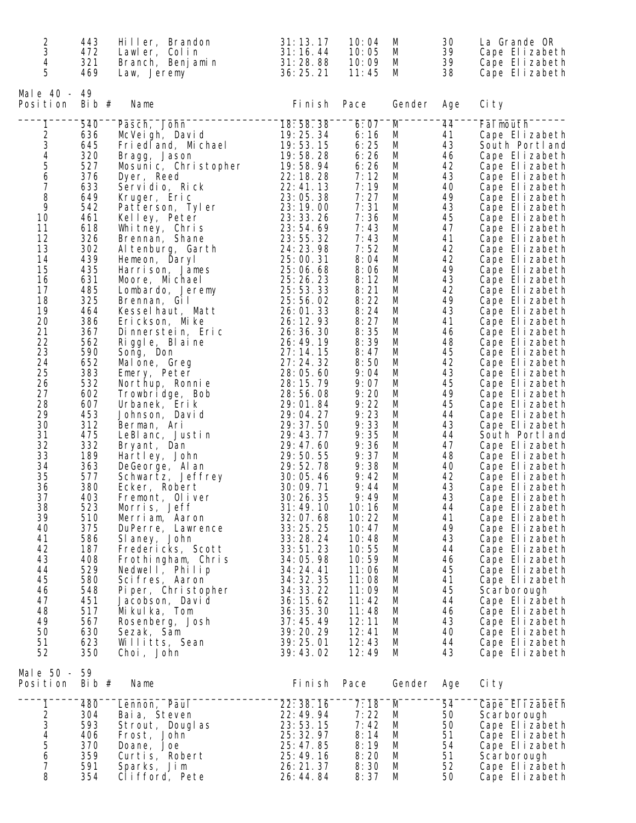| $\overline{c}$<br>3     | 443<br>472 | Hiller, Brandon<br>Lawler, Colin    | 31:13.17<br>31:16.44   | 10:04<br>10:05 | M<br>M | 30<br>39 | La Grande OR<br>Cape Elizabeth   |
|-------------------------|------------|-------------------------------------|------------------------|----------------|--------|----------|----------------------------------|
| 4                       | 321        | Branch, Benjamin                    | 31:28.88               | 10:09          | M      | 39       | Cape Elizabeth                   |
| 5                       | 469        | Law, Jeremy                         | 36:25.21               | 11:45          | M      | 38       | Cape Elizabeth                   |
| Male 40 - 49            |            |                                     |                        |                |        |          |                                  |
| Position                | Bib #      | Name                                | Fi ni sh               | Pace           | Gender | Age      | Ci ty                            |
| 1                       | 540        | Pasch, John                         | 18:58.38               | 6:07           | M      | 44       | Fal mouth                        |
|                         | 636        | McVeigh, David                      | 19:25.34               | 6:16           | M      | 41       | Cape Elizabeth                   |
|                         | 645        | Fried and, Michael                  | 19:53.15               | 6:25           | M      | 43       | South Portland                   |
| 23456                   | 320        | Bragg, Jason                        | 19:58.28               | 6:26           | M      | 46       | Cape Elizabeth                   |
|                         | 527        | Mosunic, Christopher                | 19:58.94               | 6:26           | M      | 42       | Cape Elizabeth                   |
|                         | 376        | Dyer, Reed                          | 22: 18. 28             | 7:12           | M      | 43       | Cape Elizabeth                   |
| $\overline{7}$          | 633        | Servidio, Rick                      | 22:41.13               | 7:19           | M      | 40       | Cape Elizabeth                   |
| 8<br>9                  | 649        | Kruger, Eric                        | 23:05.38<br>23:19.00   | 7:27<br>7:31   | M      | 49       | Cape Elizabeth                   |
| 10                      | 542<br>461 | Patterson, Tyler                    | 23: 33. 26             | 7:36           | M<br>M | 43<br>45 | Cape Elizabeth<br>Cape Elizabeth |
| 11                      | 618        | Kelley, Peter<br>Whitney, Chris     | 23:54.69               | 7:43           | M      | 47       | Cape Elizabeth                   |
| 12                      | 326        | Brennan, Shane                      | 23:55.32               | 7:43           | M      | 41       | Cape Elizabeth                   |
| 13                      | 302        | Al tenburg, Garth                   | 24: 23. 98             | 7:52           | M      | 42       | Cape Elizabeth                   |
| 14                      | 439        | Hemeon, Daryl                       | 25:00.31               | 8:04           | M      | 42       | Cape Elizabeth                   |
| 15                      | 435        | Harrison, James                     | 25:06.68               | 8:06           | M      | 49       | Cape Elizabeth                   |
| 16                      | 631        | Moore, Michael                      | 25: 26. 23             | 8:12           | M      | 43       | Cape Elizabeth                   |
| 17                      | 485        | Lombardo, Jeremy                    | 25:53.33               | 8:21           | M      | 42       | Cape Elizabeth                   |
| 18                      | 325        | Brennan, Gil                        | 25:56.02               | 8:22           | M      | 49       | Cape Elizabeth                   |
| 19                      | 464        | Kesselhaut, Matt                    | 26:01.33               | 8:24           | M      | 43       | Cape Elizabeth                   |
| 20                      | 386        | Erickson, Mike                      | 26: 12. 93             | 8:27           | M      | 41       | Cape Elizabeth                   |
| 21                      | 367        | Dinnerstein, Eric                   | 26: 36. 30             | 8:35           | M      | 46       | Cape Elizabeth                   |
| 22                      | 562        | Riggle, Blaine                      | 26: 49. 19             | 8:39           | M      | 48       | Cape Elizabeth                   |
| 23                      | 590        | Song, Don                           | 27:14.15               | 8:47           | M      | 45       | Cape Elizabeth                   |
| 24<br>25                | 652<br>383 | Malone, Greg<br>Emery, Peter        | 27:24.32<br>28:05.60   | 8:50<br>9:04   | M<br>M | 42<br>43 | Cape Elizabeth<br>Cape Elizabeth |
| 26                      | 532        | Northup, Ronnie                     | 28: 15. 79             | 9:07           | M      | 45       | Cape Elizabeth                   |
| 27                      | 602        | Trowbridge, Bob                     | 28:56.08               | 9:20           | M      | 49       | Cape Elizabeth                   |
| 28                      | 607        | Urbanek, Erik                       | 29:01.84               | 9:22           | M      | 45       | Cape Elizabeth                   |
| 29                      | 453        | Johnson, David                      | 29:04.27               | 9:23           | M      | 44       | Cape Elizabeth                   |
| 30                      | 312        | Berman, Ari                         | 29:37.50               | 9:33           | M      | 43       | Cape Elizabeth                   |
| 31                      | 475        | LeBlanc, Justin                     | 29:43.77               | 9:35           | M      | 44       | South Portland                   |
| 32                      | 332        | Bryant, Dan                         | 29:47.60               | 9:36           | M      | 47       | Cape Elizabeth                   |
| 33                      | 189        | Hartley, John                       | 29:50.55               | 9:37           | M      | 48       | Cape Elizabeth                   |
| 34                      | 363        | DeGeorge, Al an                     | 29:52.78               | 9:38           | M      | 40       | Cape Elizabeth                   |
| 35                      | 577        | Schwartz, Jeffrey                   | 30:05.46               | 9:42           | M      | 42       | Cape Elizabeth                   |
| 36                      | 380        | Ecker, Robert                       | 30:09.71               | 9:44           | M      | 43       | Cape Elizabeth                   |
| 37                      | 403        | Fremont, Oliver                     | 30:26.35               | 9:49           | M      | 43       | Cape Elizabeth                   |
| 38                      | 523        | Morris, Jeff                        | 31:49.10               | 10:16          | M<br>М | 44<br>41 | Cape Elizabeth                   |
| 39<br>40                | 510<br>375 | Merriam, Aaron<br>DuPerre, Lawrence | 32:07.68<br>33:25.25   | 10:22<br>10:47 | M      | 49       | Cape Elizabeth<br>Cape Elizabeth |
| 41                      | 586        | SI aney, John                       | 33:28.24               | 10:48          | M      | 43       | Cape Elizabeth                   |
| 42                      | 187        | Fredericks, Scott                   | 33:51.23               | 10:55          | M      | 44       | Cape Elizabeth                   |
| 43                      | 408        | Frothingham, Chris                  | 34:05.98               | 10:59          | M      | 46       | Cape Elizabeth                   |
| 44                      | 529        | Nedwell, Philip                     | 34:24.41               | 11:06          | M      | 45       | Cape Elizabeth                   |
| 45                      | 580        | Scifres, Aaron                      | 34: 32. 35             | 11:08          | M      | 41       | Cape Elizabeth                   |
| 46                      | 548        | Piper, Christopher                  | 34: 33. 22             | 11:09          | M      | 45       | Scarborough                      |
| 47                      | 451        | Jacobson, David                     | 36:15.62               | 11:42          | M      | 44       | Cape Elizabeth                   |
| 48                      | 517        | Mikulka, Tom                        | 36: 35. 30             | 11:48          | M      | 46       | Cape Elizabeth                   |
| 49                      | 567        | Rosenberg, Josh                     | 37:45.49               | 12:11          | M      | 43       | Cape Elizabeth                   |
| 50                      | 630        | Sezak, Sam                          | 39:20.29               | 12:41          | M      | 40       | Cape Elizabeth                   |
| 51<br>52                | 623<br>350 | Willitts, Sean                      | 39:25.01<br>39:43.02   | 12:43<br>12:49 | M<br>M | 44<br>43 | Cape Elizabeth                   |
|                         |            | Choi, John                          |                        |                |        |          | Cape Elizabeth                   |
| Male 50 - 59            |            |                                     |                        |                |        |          |                                  |
| Position                | Bib $#$    | Name                                | Fi ni sh               | Pace           | Gender | Age      | Ci ty                            |
| 1                       | 480        | Lennon, Paul                        | 22:38.16               | 7:18           | M      | 54       | Cape Elizabeth                   |
| $2^{3}$<br>$4^{4}$<br>5 | 304        | Bai a, Steven                       | 22: 49. 94             | 7:22           | M      | 50       | Scarborough                      |
|                         | 593        | Strout, Douglas                     | 23:53.15               | 7:42           | M      | 50       | Cape Elizabeth                   |
|                         | 406        | Frost, John                         | 25: 32. 97             | 8:14           | M      | 51       | Cape Elizabeth                   |
|                         | 370        | Doane, Joe                          | 25:47.85               | 8:19           | M      | 54       | Cape Elizabeth                   |
| 6<br>$\overline{7}$     | 359<br>591 | Curtis, Robert                      | 25:49.16<br>26: 21. 37 | 8:20<br>8:30   | M<br>M | 51<br>52 | Scarborough                      |
| 8                       | 354        | Sparks, Jim<br>Clifford, Pete       | 26:44.84               | 8:37           | M      | 50       | Cape Elizabeth<br>Cape Elizabeth |
|                         |            |                                     |                        |                |        |          |                                  |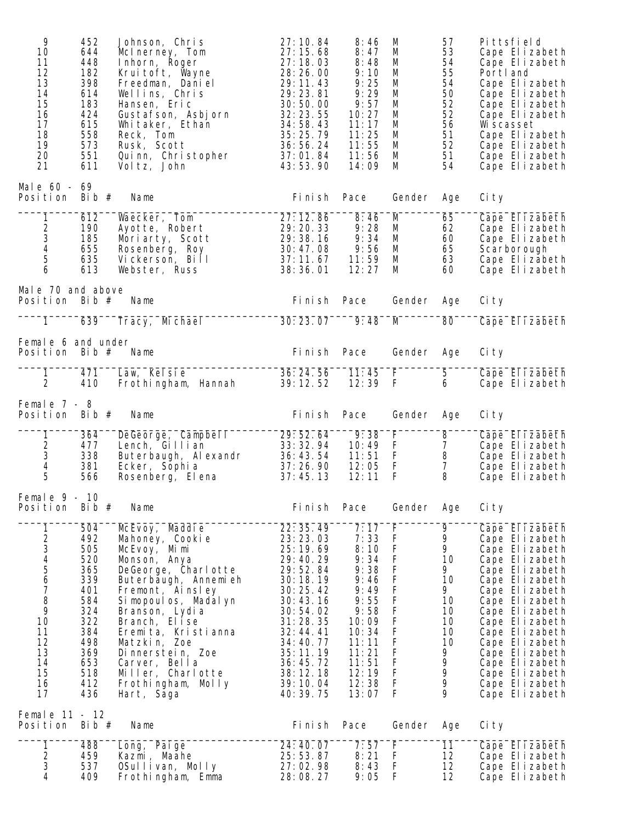| 9<br>10<br>11<br>12<br>13<br>14<br>15<br>16<br>17<br>18<br>19<br>20<br>21 | 452<br>644<br>448<br>182<br>398<br>614<br>183<br>424<br>615<br>558<br>573<br>551<br>611 | Johnson, Chris<br>McInerney, Tom<br>Inhorn, Roger<br>Kruitoft, Wayne<br>Freedman, Daniel<br>Wellins, Chris<br>Hansen, Eric<br>Gustafson, Asbjorn<br>Whitaker, Ethan<br>Reck, Tom<br>Rusk, Scott<br>Quinn, Christopher<br>Vol tz, John                                          | 27:10.84<br>27:15.68<br>27:18.03<br>28:26.00<br>29:11.43<br>29:23.81<br>30:50.00<br>32:23.55<br>34:58.43<br>35:25.79<br>36:56.24<br>37:01.84<br>43:53.90                   | 8:46<br>8:47<br>8:48<br>9:10<br>9:25<br>9:29<br>9:57<br>10:27<br>11:17<br>11:25<br>11:55<br>11:56<br>14:09        | M<br>M<br>M<br>M<br>M<br>M<br>M<br>M<br>M<br>M<br>M<br>M<br>M                                                                            | 57<br>53<br>54<br>55<br>54<br>50<br>52<br>52<br>56<br>51<br>52<br>51<br>54 | Pittsfield<br>Cape Elizabeth<br>Cape Elizabeth<br>Portl and<br>Cape Elizabeth<br>Cape Elizabeth<br>Cape Elizabeth<br>Cape Elizabeth<br>Wi scasset<br>Cape Elizabeth<br>Cape Elizabeth<br>Cape Elizabeth<br>Cape Elizabeth                                |
|---------------------------------------------------------------------------|-----------------------------------------------------------------------------------------|--------------------------------------------------------------------------------------------------------------------------------------------------------------------------------------------------------------------------------------------------------------------------------|----------------------------------------------------------------------------------------------------------------------------------------------------------------------------|-------------------------------------------------------------------------------------------------------------------|------------------------------------------------------------------------------------------------------------------------------------------|----------------------------------------------------------------------------|----------------------------------------------------------------------------------------------------------------------------------------------------------------------------------------------------------------------------------------------------------|
| Male 60 - 69<br>Position                                                  | Bib $#$                                                                                 | Name                                                                                                                                                                                                                                                                           | Fi ni sh                                                                                                                                                                   | Pace                                                                                                              | Gender                                                                                                                                   | Age                                                                        | Ci ty                                                                                                                                                                                                                                                    |
| 1<br>$\begin{array}{c} 2 \\ 3 \\ 4 \end{array}$<br>5<br>6                 | 612<br>190<br>185<br>655<br>635<br>613                                                  | Waecker, Tom<br>Ayotte, Robert<br>Moriarty, Scott<br>Rosenberg, Roy<br>Vickerson, Bill<br>Webster, Russ                                                                                                                                                                        | 27:12.86<br>29: 20. 33<br>29:38.16<br>30:47.08<br>37:11.67<br>38:36.01                                                                                                     | 8:46<br>9:28<br>9:34<br>9:56<br>11:59<br>12:27                                                                    | M<br>M<br>M<br>M<br>M<br>M                                                                                                               | 65<br>62<br>60<br>65<br>63<br>60                                           | Cape Elizabeth<br>Cape Elizabeth<br>Cape Elizabeth<br>Scarborough<br>Cape Elizabeth<br>Cape Elizabeth                                                                                                                                                    |
| Male 70 and above<br>Position Bib $#$                                     |                                                                                         | Name                                                                                                                                                                                                                                                                           | Fi ni sh                                                                                                                                                                   | Pace                                                                                                              | Gender                                                                                                                                   | Age                                                                        | Ci ty                                                                                                                                                                                                                                                    |
| 1                                                                         | 639                                                                                     | Tracy, Michael                                                                                                                                                                                                                                                                 | 30:23.07                                                                                                                                                                   | 9:48                                                                                                              | M                                                                                                                                        | 80                                                                         | Cape Elizabeth                                                                                                                                                                                                                                           |
| Female 6 and under<br>Position                                            | Bib #                                                                                   | Name                                                                                                                                                                                                                                                                           | Fi ni sh                                                                                                                                                                   | Pace                                                                                                              | Gender                                                                                                                                   | Age                                                                        | Ci ty                                                                                                                                                                                                                                                    |
| 1<br>$\overline{2}$                                                       | 471<br>410                                                                              | Law, Kelsie<br>Frothingham, Hannah                                                                                                                                                                                                                                             | 36:24.56<br>39:12.52                                                                                                                                                       | 11:45<br>12:39                                                                                                    | F.<br>$\mathsf F$                                                                                                                        | 5<br>6                                                                     | Cape Elizabeth<br>Cape Elizabeth                                                                                                                                                                                                                         |
| Female $7 - 8$<br>Position                                                | Bib $#$                                                                                 | Name                                                                                                                                                                                                                                                                           | Fi ni sh                                                                                                                                                                   | Pace                                                                                                              | Gender                                                                                                                                   | Age                                                                        | Ci ty                                                                                                                                                                                                                                                    |
| 1<br>$\begin{array}{c} 2 \\ 3 \\ 4 \end{array}$<br>5                      | 364<br>477<br>338<br>381<br>566                                                         | DeGeorge, Campbell<br>Lench, Gillian<br>Buterbaugh, Alexandr<br>Ecker, Sophia<br>Rosenberg, Elena                                                                                                                                                                              | 29:52.64<br>33: 32. 94<br>36: 43. 54<br>37:26.90<br>37:45.13                                                                                                               | 9:38<br>10:49<br>11:51<br>12:05<br>12:11                                                                          | $\overline{F}$<br>$\mathsf F$<br>F<br>$\mathsf F$<br>F                                                                                   | $\overline{8}$<br>$\overline{7}$<br>8<br>$\overline{7}$<br>8               | Cape Elizabeth<br>Cape Elizabeth<br>Cape Elizabeth<br>Cape Elizabeth<br>Cape Elizabeth                                                                                                                                                                   |
| Female $9 - 10$<br>Position                                               | Bib $#$                                                                                 | Name                                                                                                                                                                                                                                                                           | Fi ni sh                                                                                                                                                                   | Pace                                                                                                              | Gender                                                                                                                                   | Age                                                                        | Ci ty                                                                                                                                                                                                                                                    |
| 1<br>2345678<br>9<br>10<br>11<br>12<br>13                                 | 504<br>492<br>505<br>520<br>365<br>339<br>401<br>584<br>324<br>322<br>384<br>498<br>369 | McEvoy, Maddie<br>Mahoney, Cooki e<br>McEvoy, Mimi<br>Monson, Anya<br>DeGeorge, Charlotte<br>Buterbaugh, Annemieh<br>Fremont, Ainsley<br>Si mopoul os, Madal yn<br>Branson, Lydia<br>Branch, Elise<br>Eremita, Kristianna<br>Matzkin, Zoe<br>Dinnerstein, Zoe<br>Carver, Bella | 22: 35. 49<br>23:23.03<br>25:19.69<br>29:40.29<br>29:52.84<br>30:18.19<br>30: 25. 42<br>30:43.16<br>30:54.02<br>31:28.35<br>32:44.41<br>34:40.77<br>35:11.19<br>36: 45. 72 | 7:17<br>7:33<br>8:10<br>9:34<br>9:38<br>9:46<br>9:49<br>9:55<br>9:58<br>10:09<br>10:34<br>11:11<br>11:21<br>11:51 | F<br>F<br>F<br>$\mathsf F$<br>F<br>F<br>$\mathsf F$<br>F<br>F<br>$\mathsf F$<br>$\mathsf F$<br>$\mathsf F$<br>$\mathsf F$<br>$\mathsf F$ | 9<br>9<br>9<br>10<br>9<br>10<br>9<br>10<br>10<br>10<br>10<br>10<br>9<br>9  | Cape Elizabeth<br>Cape Elizabeth<br>Cape Elizabeth<br>Cape Elizabeth<br>Cape Elizabeth<br>Cape Elizabeth<br>Cape Elizabeth<br>Cape Elizabeth<br>Cape Elizabeth<br>Cape Elizabeth<br>Cape Elizabeth<br>Cape Elizabeth<br>Cape Elizabeth<br>Cape Elizabeth |
| 14<br>15<br>16<br>17<br>Femal e 11 - 12                                   | 653<br>518<br>412<br>436                                                                | Miller, Charlotte<br>Frothingham, Molly<br>Hart, Saga                                                                                                                                                                                                                          | 38:12.18<br>39:10.04<br>40: 39. 75                                                                                                                                         | 12:19<br>12:38<br>13:07                                                                                           | $\mathsf F$<br>$\mathsf F$<br>$\mathsf F$                                                                                                | 9<br>9<br>9                                                                | Cape Elizabeth<br>Cape Elizabeth<br>Cape Elizabeth                                                                                                                                                                                                       |
| Position<br>1                                                             | Bib $#$<br>488                                                                          | Name<br>Long, Paige                                                                                                                                                                                                                                                            | Fi ni sh<br>24:40.07                                                                                                                                                       | Pace<br>7:57                                                                                                      | Gender<br>F                                                                                                                              | Age<br>11                                                                  | Ci ty<br>Cape Elizabeth                                                                                                                                                                                                                                  |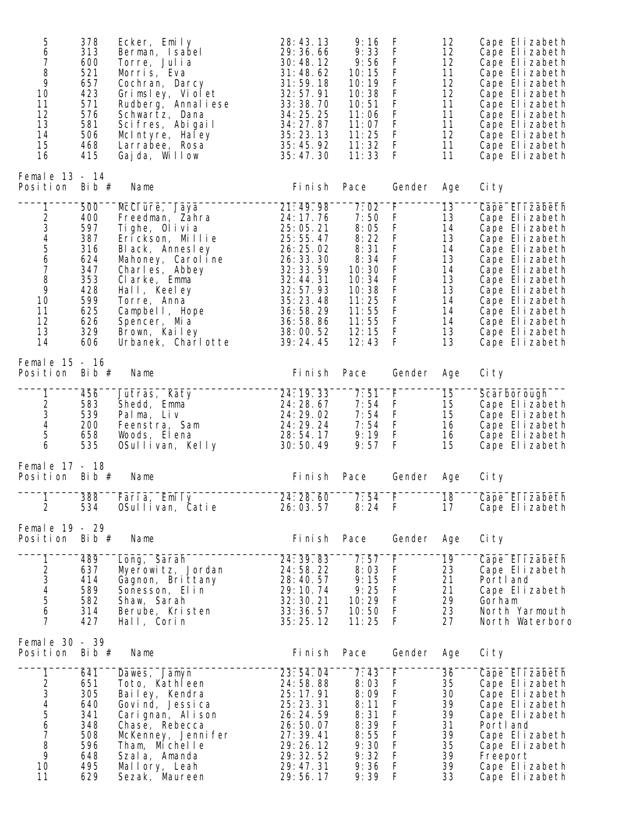| 5<br>6<br>7<br>8<br>9<br>10<br>11<br>12<br>13<br>14<br>15<br>16                               | 378<br>313<br>600<br>521<br>657<br>423<br>571<br>576<br>581<br>506<br>468<br>415               | Ecker, Emily<br>Berman, Isabel<br>Torre, Julia<br>Morris, Eva<br>Cochran, Darcy<br>Grimsley, Violet<br>Rudberg, Annal i ese<br>Schwartz, Dana<br>Scifres, Abigail<br>McIntyre, Haley<br>Larrabee, Rosa<br>Gajda, Willow                                   | 28:43.13<br>29:36.66<br>30:48.12<br>31:48.62<br>31:59.18<br>32:57.91<br>33:38.70<br>34:25.25<br>34:27.87<br>35:23.13<br>35:45.92<br>35:47.30                                 | 9:16<br>9:33<br>9:56<br>10:15<br>10:19<br>10:38<br>10:51<br>11:06<br>11:07<br>11:25<br>11:32<br>11:33                | F<br>F<br>$\mathsf F$<br>$\mathsf F$<br>$\mathsf F$<br>$\mathsf F$<br>$\mathsf F$<br>$\mathsf F$<br>$\mathsf F$<br>$\mathsf F$<br>F<br>$\mathsf{F}$ | 12<br>12<br>12<br>11<br>12<br>12<br>11<br>11<br>11<br>12<br>11<br>11             | Cape Elizabeth<br>Cape Elizabeth<br>Cape Elizabeth<br>Cape Elizabeth<br>Cape Elizabeth<br>Cape Elizabeth<br>Cape Elizabeth<br>Cape Elizabeth<br>Cape Elizabeth<br>Cape Elizabeth<br>Cape Elizabeth<br>Cape Elizabeth                                     |
|-----------------------------------------------------------------------------------------------|------------------------------------------------------------------------------------------------|-----------------------------------------------------------------------------------------------------------------------------------------------------------------------------------------------------------------------------------------------------------|------------------------------------------------------------------------------------------------------------------------------------------------------------------------------|----------------------------------------------------------------------------------------------------------------------|-----------------------------------------------------------------------------------------------------------------------------------------------------|----------------------------------------------------------------------------------|----------------------------------------------------------------------------------------------------------------------------------------------------------------------------------------------------------------------------------------------------------|
| Female 13 - 14<br>Position Bib $#$                                                            |                                                                                                | Name                                                                                                                                                                                                                                                      | Fi ni sh                                                                                                                                                                     | Pace                                                                                                                 | Gender                                                                                                                                              | Age                                                                              | Ci ty                                                                                                                                                                                                                                                    |
| 1<br>$2^{3}$<br>45<br>$\frac{6}{7}$<br>$\, 8$<br>9<br>10<br>11<br>12<br>13<br>14              | 500<br>400<br>597<br>387<br>316<br>624<br>347<br>353<br>428<br>599<br>625<br>626<br>329<br>606 | McClure, Jaya<br>Freedman, Zahra<br>Tighe, Olivia<br>Erickson, Millie<br>Black, Annesley<br>Mahoney, Carol ine<br>Charles, Abbey<br>Clarke, Emma<br>Hall, Keeley<br>Torre, Anna<br>Campbell, Hope<br>Spencer, Mia<br>Brown, Kailey<br>Urbanek, Charl otte | 21:49.98<br>24: 17. 76<br>25:05.21<br>25:55.47<br>26: 25. 02<br>26: 33. 30<br>32: 33. 59<br>32:44.31<br>32:57.93<br>35:23.48<br>36:58.29<br>36:58.86<br>38:00.52<br>39:24.45 | 7:02<br>7:50<br>8:05<br>8:22<br>8:31<br>8:34<br>10:30<br>10:34<br>10:38<br>11:25<br>11:55<br>11:55<br>12:15<br>12:43 | F<br>F<br>$\mathsf F$<br>$\mathsf F$<br>$\mathsf F$<br>$\frac{F}{F}$<br>$\mathsf F$<br>F<br>$\mathsf F$<br>$\mathsf F$<br>$\mathsf F$<br>F<br>F     | 13<br>13<br>14<br>13<br>14<br>13<br>14<br>13<br>13<br>14<br>14<br>14<br>13<br>13 | Cape Elizabeth<br>Cape Elizabeth<br>Cape Elizabeth<br>Cape Elizabeth<br>Cape Elizabeth<br>Cape Elizabeth<br>Cape Elizabeth<br>Cape Elizabeth<br>Cape Elizabeth<br>Cape Elizabeth<br>Cape Elizabeth<br>Cape Elizabeth<br>Cape Elizabeth<br>Cape Elizabeth |
| Female 15 - 16<br>Position                                                                    | Bib $#$                                                                                        | Name                                                                                                                                                                                                                                                      | Fi ni sh                                                                                                                                                                     | Pace                                                                                                                 | Gender                                                                                                                                              | Age                                                                              | Ci ty                                                                                                                                                                                                                                                    |
| 1<br>$\begin{array}{c} 2 \\ 3 \\ 4 \end{array}$<br>5<br>6                                     | 456<br>583<br>539<br>200<br>658<br>535                                                         | Jutras, Katy<br>Shedd, Emma<br>Palma, Liv<br>Feenstra, Sam<br>Woods, Elena<br>OSullivan, Kelly                                                                                                                                                            | 24: 19. 33<br>24: 28. 67<br>24:29.02<br>24: 29. 24<br>28:54.17<br>30:50.49                                                                                                   | 7:51<br>7:54<br>7:54<br>7:54<br>9:19<br>9:57                                                                         | F<br>F<br>$\mathsf F$<br>$\mathsf F$<br>$\mathsf F$<br>$\mathsf{F}$                                                                                 | 15<br>15<br>15<br>16<br>16<br>15                                                 | Scarborough<br>Cape Elizabeth<br>Cape Elizabeth<br>Cape Elizabeth<br>Cape Elizabeth<br>Cape Elizabeth                                                                                                                                                    |
| Femal e 17 - 18<br>Position Bib $#$                                                           |                                                                                                | Name                                                                                                                                                                                                                                                      | Fi ni sh                                                                                                                                                                     | Pace                                                                                                                 | Gender                                                                                                                                              | Age                                                                              | Ci ty                                                                                                                                                                                                                                                    |
| 1<br>2                                                                                        | 388<br>534                                                                                     | Faria, Emily<br>OSullivan, Catie                                                                                                                                                                                                                          | 24:28.60<br>26:03.57                                                                                                                                                         | 7:54<br>8:24                                                                                                         | F<br>- F                                                                                                                                            | 18<br>17                                                                         | Cape Elizabeth<br>Cape Elizabeth                                                                                                                                                                                                                         |
| Femal e 19 - 29<br>Position                                                                   | Bib $#$                                                                                        | Name                                                                                                                                                                                                                                                      | Fi ni sh                                                                                                                                                                     | Pace                                                                                                                 | Gender                                                                                                                                              | Age                                                                              | Ci ty                                                                                                                                                                                                                                                    |
| 1<br>$2^{3}$<br>45<br>6<br>7                                                                  | 489<br>637<br>414<br>589<br>582<br>314<br>427                                                  | Long, Sarah<br>Myerowitz, Jordan<br>Gagnon, Brittany<br>Sonesson, Elin<br>Shaw, Sarah<br>Berube, Kristen<br>Hall, Corin                                                                                                                                   | 24: 39. 83<br>24:58.22<br>28:40.57<br>29:10.74<br>32: 30. 21<br>33:36.57<br>35:25.12                                                                                         | 7:57<br>8:03<br>9:15<br>9:25<br>10:29<br>10:50<br>11:25                                                              | F<br>F<br>$\mathsf F$<br>$\mathsf F$<br>$\mathsf F$<br>$\mathsf F$<br>-F                                                                            | 19<br>23<br>21<br>21<br>29<br>23<br>27                                           | Cape Elizabeth<br>Cape Elizabeth<br>Portl and<br>Cape Elizabeth<br>Gorham<br>North Yarmouth<br>North Waterboro                                                                                                                                           |
| Femal e 30 - 39<br>Position                                                                   | Bib $#$                                                                                        | Name                                                                                                                                                                                                                                                      | Fi ni sh                                                                                                                                                                     | Pace                                                                                                                 | Gender                                                                                                                                              | Age                                                                              | Ci ty                                                                                                                                                                                                                                                    |
| 1<br>$\overline{\mathbf{c}}$<br>3<br>4<br>5<br>6<br>$\overline{7}$<br>$\, 8$<br>9<br>10<br>11 | 641<br>651<br>305<br>640<br>341<br>348<br>508<br>596<br>648<br>495<br>629                      | Dawes, Jamyn<br>Toto, Kathleen<br>Bailey, Kendra<br>Govind, Jessica<br>Carignan, Alison<br>Chase, Rebecca<br>McKenney, Jenni fer<br>Tham, Michelle<br>Szala, Amanda<br>Mallory, Leah<br>Sezak, Maureen                                                    | 23:54.04<br>24:58.88<br>25: 17. 91<br>25:23.31<br>26: 24. 59<br>26:50.07<br>27:39.41<br>29:26.12<br>29: 32. 52<br>29: 47. 31<br>29:56.17                                     | 7:43<br>8:03<br>8:09<br>8:11<br>8:31<br>8:39<br>8:55<br>9:30<br>9:32<br>9:36<br>9:39                                 | F<br>$\mathsf F$<br>F<br>$\mathsf F$<br>F<br>$\mathsf F$<br>$\mathsf F$<br>$\mathsf F$<br>F<br>F<br>F                                               | 36<br>35<br>30<br>39<br>39<br>31<br>39<br>35<br>39<br>39<br>33                   | Cape Elizabeth<br>Cape Elizabeth<br>Cape Elizabeth<br>Cape Elizabeth<br>Cape Elizabeth<br>Portl and<br>Cape Elizabeth<br>Cape Elizabeth<br>Freeport<br>Cape Elizabeth<br>Cape Elizabeth                                                                  |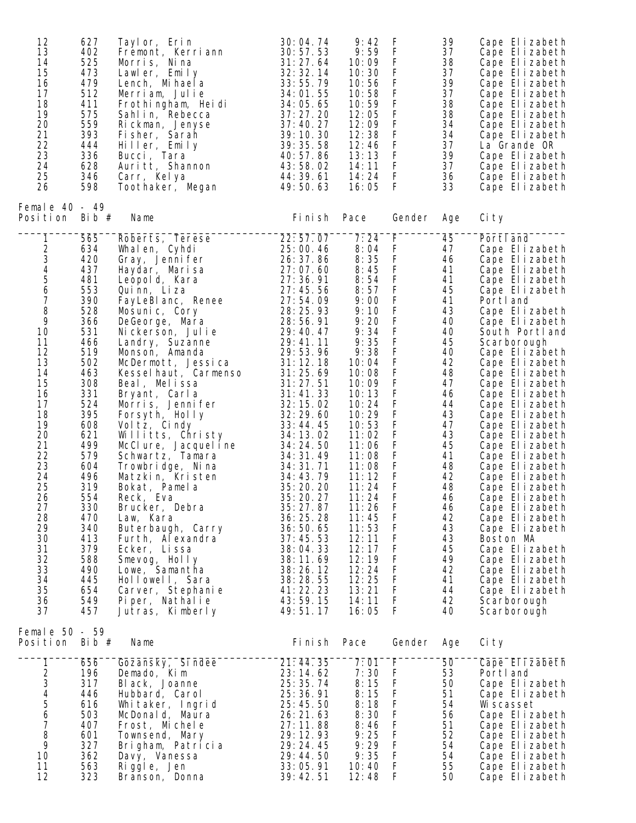| 12<br>13<br>14<br>15<br>16<br>17<br>18<br>19<br>20<br>21<br>22<br>23<br>24<br>25<br>26                                                                                                                                                                                     | 627<br>402<br>525<br>473<br>479<br>512<br>411<br>575<br>559<br>393<br>444<br>336<br>628<br>346<br>598                                                                                                                                                                      | Tayl or, Erin<br>Fremont, Kerriann<br>Morris, Nina<br>Lawler, Emily<br>Lench, Mi hael a<br>Merriam, Julie<br>Frothingham, Heidi<br>Sahlin, Rebecca<br>Rickman, Jenyse<br>Fisher, Sarah<br>Hiller, Emily<br>Bucci, Tara<br>Auritt, Shannon<br>Carr, Kelya<br>Toothaker, Megan                                                                                                                                                                                                                                                                                                                                                                                                                                          | 30:04.74<br>30:57.53<br>31:27.64<br>32: 32. 14<br>33:55.79<br>34:01.55<br>34:05.65<br>37:27.20<br>37:40.27<br>39:10.30<br>39:35.58<br>40:57.86<br>43:58.02<br>44: 39. 61<br>49:50.63                                                                                                                                                                                                                                                                                            | 9:42<br>9:59<br>10:09<br>10:30<br>10:56<br>10:58<br>10:59<br>12:05<br>12:09<br>12:38<br>12:46<br>13:13<br>14:11<br>14:24<br>16:05                                                                                                                                                                                                     | F<br>$\mathsf F$<br>F<br>$\mathsf F$<br>$\mathsf F$<br>$\mathsf F$<br>$\mathsf F$<br>F<br>$\mathsf F$<br>$\mathsf F$<br>F<br>$\mathsf F$<br>$\mathsf{F}$<br>F.<br>F                                                                                                                                                                                                                                                                                                             | 39<br>37<br>38<br>37<br>39<br>37<br>38<br>38<br>34<br>34<br>37<br>39<br>37<br>36<br>33                                                                                                                                            | Cape Elizabeth<br>Cape Elizabeth<br>Cape Elizabeth<br>Cape Elizabeth<br>Cape Elizabeth<br>Cape Elizabeth<br>Cape Elizabeth<br>Cape Elizabeth<br>Cape Elizabeth<br>Cape Elizabeth<br>La Grande OR<br>Cape Elizabeth<br>Cape Elizabeth<br>Cape Elizabeth<br>Cape Elizabeth                                                                                                                                                                                                                                                                                                                                                                                                |
|----------------------------------------------------------------------------------------------------------------------------------------------------------------------------------------------------------------------------------------------------------------------------|----------------------------------------------------------------------------------------------------------------------------------------------------------------------------------------------------------------------------------------------------------------------------|-----------------------------------------------------------------------------------------------------------------------------------------------------------------------------------------------------------------------------------------------------------------------------------------------------------------------------------------------------------------------------------------------------------------------------------------------------------------------------------------------------------------------------------------------------------------------------------------------------------------------------------------------------------------------------------------------------------------------|---------------------------------------------------------------------------------------------------------------------------------------------------------------------------------------------------------------------------------------------------------------------------------------------------------------------------------------------------------------------------------------------------------------------------------------------------------------------------------|---------------------------------------------------------------------------------------------------------------------------------------------------------------------------------------------------------------------------------------------------------------------------------------------------------------------------------------|---------------------------------------------------------------------------------------------------------------------------------------------------------------------------------------------------------------------------------------------------------------------------------------------------------------------------------------------------------------------------------------------------------------------------------------------------------------------------------|-----------------------------------------------------------------------------------------------------------------------------------------------------------------------------------------------------------------------------------|-------------------------------------------------------------------------------------------------------------------------------------------------------------------------------------------------------------------------------------------------------------------------------------------------------------------------------------------------------------------------------------------------------------------------------------------------------------------------------------------------------------------------------------------------------------------------------------------------------------------------------------------------------------------------|
| Female $40 - 49$<br>Position Bib $#$                                                                                                                                                                                                                                       |                                                                                                                                                                                                                                                                            | Name                                                                                                                                                                                                                                                                                                                                                                                                                                                                                                                                                                                                                                                                                                                  | Fi ni sh                                                                                                                                                                                                                                                                                                                                                                                                                                                                        | Pace                                                                                                                                                                                                                                                                                                                                  | Gender                                                                                                                                                                                                                                                                                                                                                                                                                                                                          | Age                                                                                                                                                                                                                               | Ci ty                                                                                                                                                                                                                                                                                                                                                                                                                                                                                                                                                                                                                                                                   |
| 1<br>$\frac{2}{3}$<br>$\frac{4}{5}$<br>6<br>$\overline{7}$<br>8<br>9<br>10<br>11<br>12<br>13<br>14<br>15<br>16<br>17<br>18<br>19<br>20<br>21<br>22<br>23<br>24<br>25<br>26<br>27<br>28<br>29<br>30<br>31<br>32<br>33<br>34<br>35<br>36<br>37<br>Female 50 - 59<br>Position | 565<br>634<br>420<br>437<br>481<br>553<br>390<br>528<br>366<br>531<br>466<br>519<br>502<br>463<br>308<br>331<br>524<br>395<br>608<br>621<br>499<br>579<br>604<br>496<br>319<br>554<br>330<br>470<br>340<br>413<br>379<br>588<br>490<br>445<br>654<br>549<br>457<br>Bib $#$ | Roberts, Terese<br>Whalen, Cyhdi<br>Gray, Jenni fer<br>Haydar, Marisa<br>Leopold, Kara<br>Quinn, Liza<br>FayLeBI anc, Renee<br>Mosunic, Cory<br>DeGeorge, Mara<br>Nickerson, Julie<br>Landry, Suzanne<br>Monson, Amanda<br>McDermott, Jessica<br>Kesselhaut, Carmenso<br>Beal, Melissa<br>Bryant, Carla<br>Morris, Jennifer<br>Forsyth, Holly<br>Voltz, Cindy<br>Willitts, Christy<br>McClure, Jacqueline<br>Schwartz, Tamara<br>Trowbridge, Nina<br>Matzkin, Kristen<br>Bokat, Pamela<br>Reck, Eva<br>Brucker, Debra<br>Law, Kara<br>Buterbaugh, Carry<br>Furth, Alexandra<br>Ecker, Lissa<br>Smevog, Holly<br>Lowe, Samantha<br>Hollowell, Sara<br>Carver, Stephanie<br>Piper, Nathalie<br>Jutras, Kimberly<br>Name | 22:57.07<br>25:00.46<br>26: 37.86<br>27:07.60<br>27:36.91<br>27:45.56<br>27:54.09<br>28:25.93<br>28:56.91<br>29:40.47<br>29:41.11<br>29:53.96<br>31:12.18<br>31:25.69<br>31:27.51<br>31:41.33<br>32:15.02<br>32:29.60<br>33:44.45<br>34: 13. 02<br>34:24.50<br>34: 31. 49<br>34: 31. 71<br>34:43.79<br>35:20.20<br>35: 20. 27<br>35:27.87<br>36:25.28<br>36:50.65<br>37:45.53<br>38:04.33<br>38:11.69<br>38:26.12<br>38:28.55<br>41: 22. 23<br>43:59.15<br>49:51.17<br>Fi ni sh | 7:24<br>8:04<br>8:35<br>8:45<br>8:54<br>8:57<br>9:00<br>9:10<br>9:20<br>9:34<br>9:35<br>9:38<br>10:04<br>10:08<br>10:09<br>10:13<br>10:24<br>10:29<br>10:53<br>11:02<br>11:06<br>11:08<br>11:08<br>11:12<br>11:24<br>11:24<br>11:26<br>11:45<br>11:53<br>12:11<br>12:17<br>12:19<br>12:24<br>12:25<br>13:21<br>14:11<br>16:05<br>Pace | F<br>F<br>$\mathsf F$<br>$\mathsf F$<br>$\mathsf F$<br>$\mathsf F$<br>$\mathsf F$<br>$\mathsf F$<br>$\mathsf F$<br>$\mathsf F$<br>$\mathsf F$<br>$\mathsf F$<br>$\mathsf F$<br>$\mathsf F$<br>$\mathsf F$<br>$\mathsf F$<br>$\mathsf F$<br>$\mathsf F$<br>F<br>$\mathsf F$<br>$\mathsf{F}$<br>$\mathsf F$<br>$\mathsf F$<br>$\mathsf{F}$<br>F<br>F<br>F<br>F<br>F<br>$\mathsf F$<br>$\mathsf F$<br>$\mathsf F$<br>$\mathsf F$<br>$\mathsf F$<br>$\mathsf F$<br>F<br>F<br>Gender | 45<br>47<br>46<br>41<br>41<br>45<br>41<br>43<br>40<br>40<br>45<br>40<br>42<br>48<br>47<br>46<br>44<br>43<br>47<br>43<br>45<br>41<br>48<br>42<br>48<br>46<br>46<br>42<br>43<br>43<br>45<br>49<br>42<br>41<br>44<br>42<br>40<br>Age | Portl and<br>Cape Elizabeth<br>Cape Elizabeth<br>Cape Elizabeth<br>Cape Elizabeth<br>Cape Elizabeth<br>Portl and<br>Cape Elizabeth<br>Cape Elizabeth<br>South Portland<br>Scarborough<br>Cape Elizabeth<br>Cape Elizabeth<br>Cape Elizabeth<br>Cape Elizabeth<br>Cape Elizabeth<br>Cape Elizabeth<br>Cape Elizabeth<br>Cape Elizabeth<br>Cape Elizabeth<br>Cape Elizabeth<br>Cape Elizabeth<br>Cape Elizabeth<br>Cape Elizabeth<br>Cape Elizabeth<br>Cape Elizabeth<br>Cape Elizabeth<br>Cape Elizabeth<br>Cape Elizabeth<br>Boston MA<br>Cape Elizabeth<br>Cape Elizabeth<br>Cape Elizabeth<br>Cape Elizabeth<br>Cape Elizabeth<br>Scarborough<br>Scarborough<br>Ci ty |
| 1                                                                                                                                                                                                                                                                          | 656<br>196                                                                                                                                                                                                                                                                 | Gozansky, Sindee<br>Demado, Kim                                                                                                                                                                                                                                                                                                                                                                                                                                                                                                                                                                                                                                                                                       | 21:44.35<br>23: 14. 62                                                                                                                                                                                                                                                                                                                                                                                                                                                          | 7:01<br>7:30                                                                                                                                                                                                                                                                                                                          | F<br>F                                                                                                                                                                                                                                                                                                                                                                                                                                                                          | 50<br>53                                                                                                                                                                                                                          | Cape Elizabeth<br>Portl and                                                                                                                                                                                                                                                                                                                                                                                                                                                                                                                                                                                                                                             |
| $\frac{2}{3}$                                                                                                                                                                                                                                                              | 317<br>446                                                                                                                                                                                                                                                                 | Bl ack, Joanne<br>Hubbard, Carol                                                                                                                                                                                                                                                                                                                                                                                                                                                                                                                                                                                                                                                                                      | 25: 35. 74<br>25: 36. 91                                                                                                                                                                                                                                                                                                                                                                                                                                                        | 8:15<br>8:15                                                                                                                                                                                                                                                                                                                          | $\mathsf F$<br>$\mathsf F$                                                                                                                                                                                                                                                                                                                                                                                                                                                      | 50<br>51                                                                                                                                                                                                                          | Cape Elizabeth<br>Cape Elizabeth                                                                                                                                                                                                                                                                                                                                                                                                                                                                                                                                                                                                                                        |
| 4<br>5<br>6                                                                                                                                                                                                                                                                | 616                                                                                                                                                                                                                                                                        | Whitaker, Ingrid                                                                                                                                                                                                                                                                                                                                                                                                                                                                                                                                                                                                                                                                                                      | 25:45.50                                                                                                                                                                                                                                                                                                                                                                                                                                                                        | 8:18                                                                                                                                                                                                                                                                                                                                  | F                                                                                                                                                                                                                                                                                                                                                                                                                                                                               | 54                                                                                                                                                                                                                                | Wi scasset                                                                                                                                                                                                                                                                                                                                                                                                                                                                                                                                                                                                                                                              |
|                                                                                                                                                                                                                                                                            | 503                                                                                                                                                                                                                                                                        | McDonald, Maura                                                                                                                                                                                                                                                                                                                                                                                                                                                                                                                                                                                                                                                                                                       | 26:21.63                                                                                                                                                                                                                                                                                                                                                                                                                                                                        | 8:30                                                                                                                                                                                                                                                                                                                                  | $\mathsf F$                                                                                                                                                                                                                                                                                                                                                                                                                                                                     | 56                                                                                                                                                                                                                                | Cape Elizabeth                                                                                                                                                                                                                                                                                                                                                                                                                                                                                                                                                                                                                                                          |
| $\boldsymbol{7}$<br>8                                                                                                                                                                                                                                                      | 407<br>601                                                                                                                                                                                                                                                                 | Frost, Michele<br>Townsend, Mary                                                                                                                                                                                                                                                                                                                                                                                                                                                                                                                                                                                                                                                                                      | 27:11.88<br>29: 12. 93                                                                                                                                                                                                                                                                                                                                                                                                                                                          | 8:46<br>9:25                                                                                                                                                                                                                                                                                                                          | $\mathsf{F}$<br>$\mathsf F$                                                                                                                                                                                                                                                                                                                                                                                                                                                     | 51<br>52                                                                                                                                                                                                                          | Cape Elizabeth<br>Cape Elizabeth                                                                                                                                                                                                                                                                                                                                                                                                                                                                                                                                                                                                                                        |
| 9                                                                                                                                                                                                                                                                          | 327                                                                                                                                                                                                                                                                        | Brigham, Patricia                                                                                                                                                                                                                                                                                                                                                                                                                                                                                                                                                                                                                                                                                                     | 29:24.45                                                                                                                                                                                                                                                                                                                                                                                                                                                                        | 9:29                                                                                                                                                                                                                                                                                                                                  | $\mathsf F$                                                                                                                                                                                                                                                                                                                                                                                                                                                                     | 54                                                                                                                                                                                                                                | Cape Elizabeth                                                                                                                                                                                                                                                                                                                                                                                                                                                                                                                                                                                                                                                          |
| 10<br>11                                                                                                                                                                                                                                                                   | 362<br>563                                                                                                                                                                                                                                                                 | Davy, Vanessa                                                                                                                                                                                                                                                                                                                                                                                                                                                                                                                                                                                                                                                                                                         | 29:44.50<br>33:05.91                                                                                                                                                                                                                                                                                                                                                                                                                                                            | 9:35<br>10:40                                                                                                                                                                                                                                                                                                                         | $\mathsf F$<br>$\mathsf F$                                                                                                                                                                                                                                                                                                                                                                                                                                                      | 54<br>55                                                                                                                                                                                                                          | Cape Elizabeth                                                                                                                                                                                                                                                                                                                                                                                                                                                                                                                                                                                                                                                          |
| 12                                                                                                                                                                                                                                                                         | 323                                                                                                                                                                                                                                                                        | Riggle, Jen<br>Branson, Donna                                                                                                                                                                                                                                                                                                                                                                                                                                                                                                                                                                                                                                                                                         | 39:42.51                                                                                                                                                                                                                                                                                                                                                                                                                                                                        | 12:48                                                                                                                                                                                                                                                                                                                                 | F                                                                                                                                                                                                                                                                                                                                                                                                                                                                               | 50                                                                                                                                                                                                                                | Cape Elizabeth<br>Cape Elizabeth                                                                                                                                                                                                                                                                                                                                                                                                                                                                                                                                                                                                                                        |